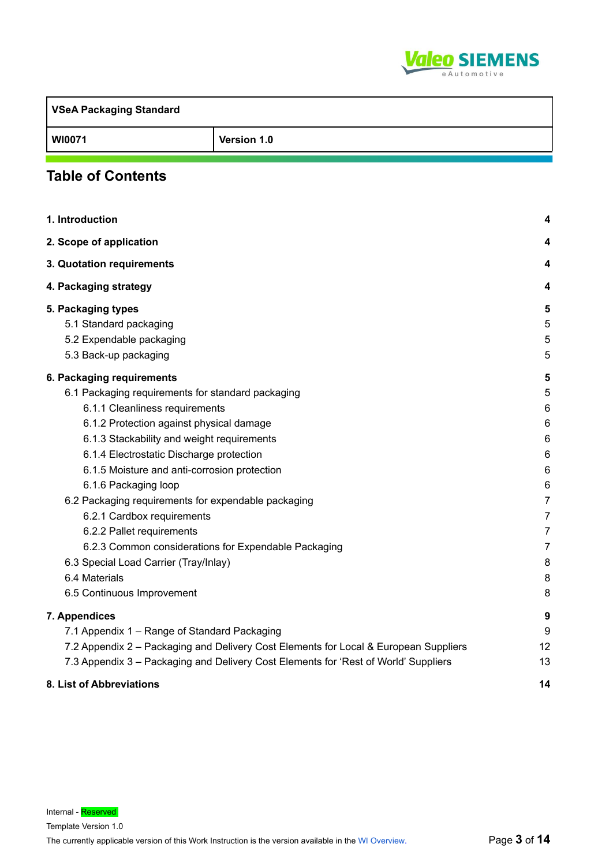

| <b>VSeA Packaging Standard</b> |             |
|--------------------------------|-------------|
| <b>WI0071</b>                  | Version 1.0 |

# **Table of Contents**

| 1. Introduction                                                                      |                |
|--------------------------------------------------------------------------------------|----------------|
| 2. Scope of application                                                              | 4              |
| 3. Quotation requirements                                                            | 4              |
| 4. Packaging strategy                                                                | 4              |
| 5. Packaging types                                                                   | 5              |
| 5.1 Standard packaging                                                               | 5              |
| 5.2 Expendable packaging                                                             | 5              |
| 5.3 Back-up packaging                                                                | 5              |
| 6. Packaging requirements                                                            | 5              |
| 6.1 Packaging requirements for standard packaging                                    | 5              |
| 6.1.1 Cleanliness requirements                                                       | 6              |
| 6.1.2 Protection against physical damage                                             | 6              |
| 6.1.3 Stackability and weight requirements                                           | 6              |
| 6.1.4 Electrostatic Discharge protection                                             | 6              |
| 6.1.5 Moisture and anti-corrosion protection                                         | 6              |
| 6.1.6 Packaging loop                                                                 | 6              |
| 6.2 Packaging requirements for expendable packaging                                  | $\overline{7}$ |
| 6.2.1 Cardbox requirements                                                           | $\overline{7}$ |
| 6.2.2 Pallet requirements                                                            | $\overline{7}$ |
| 6.2.3 Common considerations for Expendable Packaging                                 | $\overline{7}$ |
| 6.3 Special Load Carrier (Tray/Inlay)                                                | 8              |
| 6.4 Materials                                                                        | 8              |
| 6.5 Continuous Improvement                                                           | 8              |
| 7. Appendices                                                                        | 9              |
| 7.1 Appendix 1 - Range of Standard Packaging                                         | 9              |
| 7.2 Appendix 2 - Packaging and Delivery Cost Elements for Local & European Suppliers | 12             |
| 7.3 Appendix 3 - Packaging and Delivery Cost Elements for 'Rest of World' Suppliers  | 13             |
| 8. List of Abbreviations                                                             | 14             |

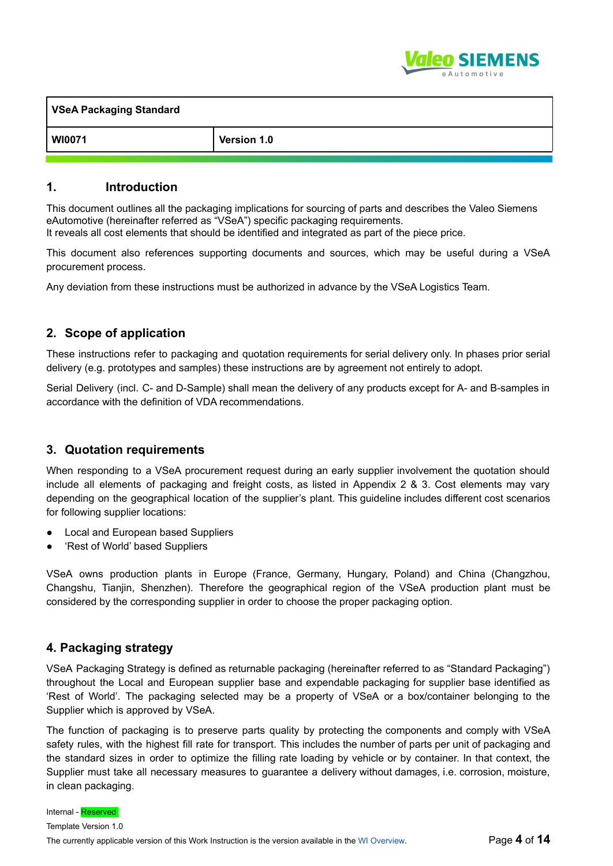

| <b>VSeA Packaging Standard</b> |             |  |
|--------------------------------|-------------|--|
| <b>WI0071</b>                  | Version 1.0 |  |

# **1. Introduction**

This document outlines all the packaging implications for sourcing of parts and describes the Valeo Siemens eAutomotive (hereinafter referred as "VSeA") specific packaging requirements. It reveals all cost elements that should be identified and integrated as part of the piece price.

This document also references supporting documents and sources, which may be useful during a VSeA procurement process.

Any deviation from these instructions must be authorized in advance by the VSeA Logistics Team.

# **2. Scope of application**

These instructions refer to packaging and quotation requirements for serial delivery only. In phases prior serial delivery (e.g. prototypes and samples) these instructions are by agreement not entirely to adopt.

Serial Delivery (incl. C- and D-Sample) shall mean the delivery of any products except for A- and B-samples in accordance with the definition of VDA recommendations.

# **3. Quotation requirements**

When responding to a VSeA procurement request during an early supplier involvement the quotation should include all elements of packaging and freight costs, as listed in Appendix 2 & 3. Cost elements may vary depending on the geographical location of the supplier's plant. This guideline includes different cost scenarios for following supplier locations:

- **Local and European based Suppliers**
- 'Rest of World' based Suppliers

VSeA owns production plants in Europe (France, Germany, Hungary, Poland) and China (Changzhou, Changshu, Tianjin, Shenzhen). Therefore the geographical region of the VSeA production plant must be considered by the corresponding supplier in order to choose the proper packaging option.

# **4. Packaging strategy**

VSeA Packaging Strategy is defined as returnable packaging (hereinafter referred to as "Standard Packaging") throughout the Local and European supplier base and expendable packaging for supplier base identified as 'Rest of World'. The packaging selected may be a property of VSeA or a box/container belonging to the Supplier which is approved by VSeA.

The function of packaging is to preserve parts quality by protecting the components and comply with VSeA safety rules, with the highest fill rate for transport. This includes the number of parts per unit of packaging and the standard sizes in order to optimize the filling rate loading by vehicle or by container. In that context, the Supplier must take all necessary measures to guarantee a delivery without damages, i.e. corrosion, moisture, in clean packaging.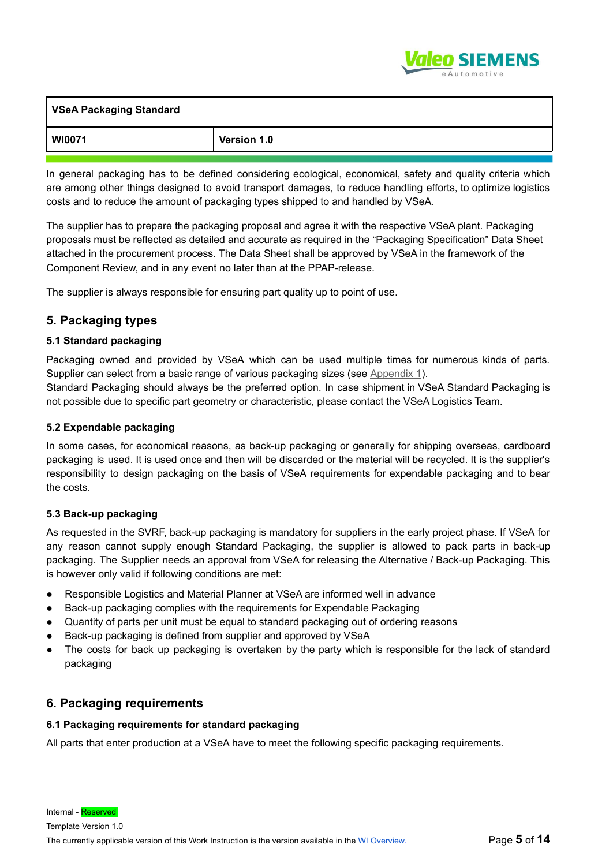

| VSeA Packaging Standard |             |
|-------------------------|-------------|
| WI0071                  | Version 1.0 |

In general packaging has to be defined considering ecological, economical, safety and quality criteria which are among other things designed to avoid transport damages, to reduce handling efforts, to optimize logistics costs and to reduce the amount of packaging types shipped to and handled by VSeA.

The supplier has to prepare the packaging proposal and agree it with the respective VSeA plant. Packaging proposals must be reflected as detailed and accurate as required in the "Packaging Specification" Data Sheet attached in the procurement process. The Data Sheet shall be approved by VSeA in the framework of the Component Review, and in any event no later than at the PPAP-release.

The supplier is always responsible for ensuring part quality up to point of use.

# **5. Packaging types**

## **5.1 Standard packaging**

Packaging owned and provided by VSeA which can be used multiple times for numerous kinds of parts. Supplier can select from a basic range of various packaging sizes (see Appendix 1).

Standard Packaging should always be the preferred option. In case shipment in VSeA Standard Packaging is not possible due to specific part geometry or characteristic, please contact the VSeA Logistics Team.

### **5.2 Expendable packaging**

In some cases, for economical reasons, as back-up packaging or generally for shipping overseas, cardboard packaging is used. It is used once and then will be discarded or the material will be recycled. It is the supplier's responsibility to design packaging on the basis of VSeA requirements for expendable packaging and to bear the costs.

### **5.3 Back-up packaging**

As requested in the SVRF, back-up packaging is mandatory for suppliers in the early project phase. If VSeA for any reason cannot supply enough Standard Packaging, the supplier is allowed to pack parts in back-up packaging. The Supplier needs an approval from VSeA for releasing the Alternative / Back-up Packaging. This is however only valid if following conditions are met:

- Responsible Logistics and Material Planner at VSeA are informed well in advance
- Back-up packaging complies with the requirements for Expendable Packaging
- Quantity of parts per unit must be equal to standard packaging out of ordering reasons
- Back-up packaging is defined from supplier and approved by VSeA
- The costs for back up packaging is overtaken by the party which is responsible for the lack of standard packaging

# **6. Packaging requirements**

### **6.1 Packaging requirements for standard packaging**

All parts that enter production at a VSeA have to meet the following specific packaging requirements.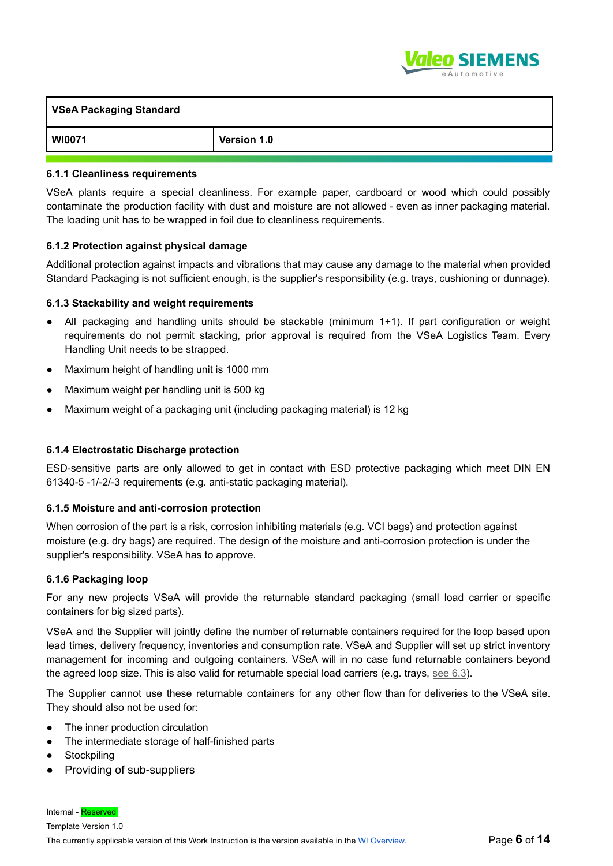

| <b>VSeA Packaging Standard</b> |                    |
|--------------------------------|--------------------|
| <b>WI0071</b>                  | <b>Version 1.0</b> |

#### **6.1.1 Cleanliness requirements**

VSeA plants require a special cleanliness. For example paper, cardboard or wood which could possibly contaminate the production facility with dust and moisture are not allowed - even as inner packaging material. The loading unit has to be wrapped in foil due to cleanliness requirements.

#### **6.1.2 Protection against physical damage**

Additional protection against impacts and vibrations that may cause any damage to the material when provided Standard Packaging is not sufficient enough, is the supplier's responsibility (e.g. trays, cushioning or dunnage).

#### **6.1.3 Stackability and weight requirements**

- All packaging and handling units should be stackable (minimum 1+1). If part configuration or weight requirements do not permit stacking, prior approval is required from the VSeA Logistics Team. Every Handling Unit needs to be strapped.
- Maximum height of handling unit is 1000 mm
- Maximum weight per handling unit is 500 kg
- Maximum weight of a packaging unit (including packaging material) is 12 kg

### **6.1.4 Electrostatic Discharge protection**

ESD-sensitive parts are only allowed to get in contact with ESD protective packaging which meet DIN EN 61340-5 -1/-2/-3 requirements (e.g. anti-static packaging material).

#### **6.1.5 Moisture and anti-corrosion protection**

When corrosion of the part is a risk, corrosion inhibiting materials (e.g. VCI bags) and protection against moisture (e.g. dry bags) are required. The design of the moisture and anti-corrosion protection is under the supplier's responsibility. VSeA has to approve.

#### **6.1.6 Packaging loop**

For any new projects VSeA will provide the returnable standard packaging (small load carrier or specific containers for big sized parts).

VSeA and the Supplier will jointly define the number of returnable containers required for the loop based upon lead times, delivery frequency, inventories and consumption rate. VSeA and Supplier will set up strict inventory management for incoming and outgoing containers. VSeA will in no case fund returnable containers beyond the agreed loop size. This is also valid for returnable special load carriers (e.g. trays, see 6.3).

The Supplier cannot use these returnable containers for any other flow than for deliveries to the VSeA site. They should also not be used for:

- The inner production circulation
- The intermediate storage of half-finished parts
- Stockpiling
- Providing of sub-suppliers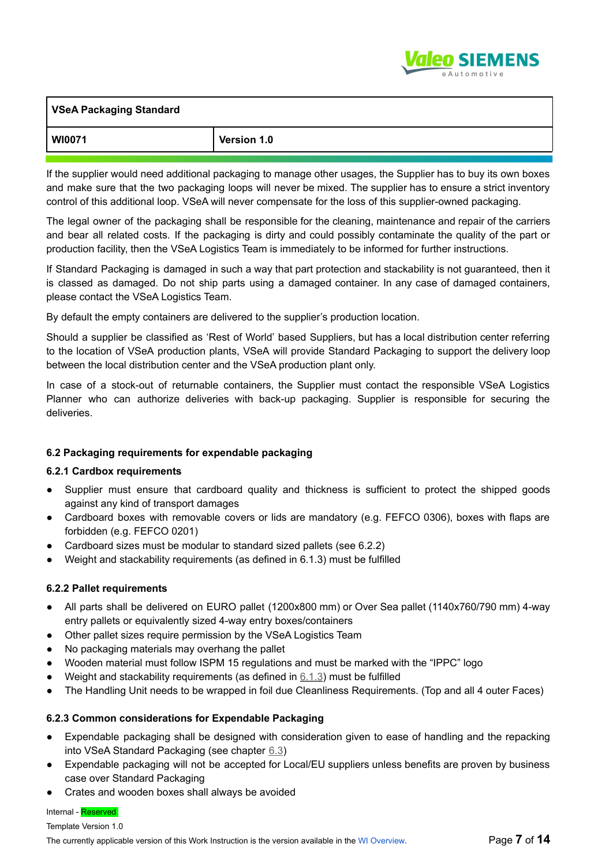

| VSeA Packaging Standard |             |
|-------------------------|-------------|
| WI0071                  | Version 1.0 |

If the supplier would need additional packaging to manage other usages, the Supplier has to buy its own boxes and make sure that the two packaging loops will never be mixed. The supplier has to ensure a strict inventory control of this additional loop. VSeA will never compensate for the loss of this supplier-owned packaging.

The legal owner of the packaging shall be responsible for the cleaning, maintenance and repair of the carriers and bear all related costs. If the packaging is dirty and could possibly contaminate the quality of the part or production facility, then the VSeA Logistics Team is immediately to be informed for further instructions.

If Standard Packaging is damaged in such a way that part protection and stackability is not guaranteed, then it is classed as damaged. Do not ship parts using a damaged container. In any case of damaged containers, please contact the VSeA Logistics Team.

By default the empty containers are delivered to the supplier's production location.

Should a supplier be classified as 'Rest of World' based Suppliers, but has a local distribution center referring to the location of VSeA production plants, VSeA will provide Standard Packaging to support the delivery loop between the local distribution center and the VSeA production plant only.

In case of a stock-out of returnable containers, the Supplier must contact the responsible VSeA Logistics Planner who can authorize deliveries with back-up packaging. Supplier is responsible for securing the deliveries.

# **6.2 Packaging requirements for expendable packaging**

### **6.2.1 Cardbox requirements**

- Supplier must ensure that cardboard quality and thickness is sufficient to protect the shipped goods against any kind of transport damages
- Cardboard boxes with removable covers or lids are mandatory (e.g. FEFCO 0306), boxes with flaps are forbidden (e.g. FEFCO 0201)
- Cardboard sizes must be modular to standard sized pallets (see 6.2.2)
- Weight and stackability requirements (as defined in 6.1.3) must be fulfilled

### **6.2.2 Pallet requirements**

- All parts shall be delivered on EURO pallet (1200x800 mm) or Over Sea pallet (1140x760/790 mm) 4-way entry pallets or equivalently sized 4-way entry boxes/containers
- Other pallet sizes require permission by the VSeA Logistics Team
- No packaging materials may overhang the pallet
- Wooden material must follow ISPM 15 regulations and must be marked with the "IPPC" logo
- Weight and stackability requirements (as defined in  $6.1.3$ ) must be fulfilled
- The Handling Unit needs to be wrapped in foil due Cleanliness Requirements. (Top and all 4 outer Faces)

### **6.2.3 Common considerations for Expendable Packaging**

- Expendable packaging shall be designed with consideration given to ease of handling and the repacking into VSeA Standard Packaging (see chapter 6.3)
- Expendable packaging will not be accepted for Local/EU suppliers unless benefits are proven by business case over Standard Packaging
- Crates and wooden boxes shall always be avoided

### Internal - Reserved

Template Version 1.0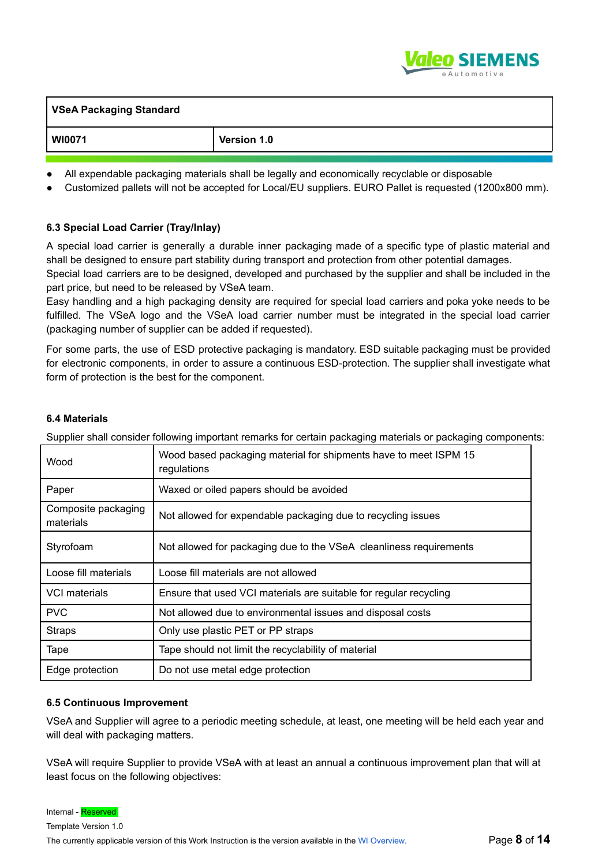

| <b>VSeA Packaging Standard</b> |             |
|--------------------------------|-------------|
| <b>WI0071</b>                  | Version 1.0 |

- All expendable packaging materials shall be legally and economically recyclable or disposable
- Customized pallets will not be accepted for Local/EU suppliers. EURO Pallet is requested (1200x800 mm).

### **6.3 Special Load Carrier (Tray/Inlay)**

A special load carrier is generally a durable inner packaging made of a specific type of plastic material and shall be designed to ensure part stability during transport and protection from other potential damages.

Special load carriers are to be designed, developed and purchased by the supplier and shall be included in the part price, but need to be released by VSeA team.

Easy handling and a high packaging density are required for special load carriers and poka yoke needs to be fulfilled. The VSeA logo and the VSeA load carrier number must be integrated in the special load carrier (packaging number of supplier can be added if requested).

For some parts, the use of ESD protective packaging is mandatory. ESD suitable packaging must be provided for electronic components, in order to assure a continuous ESD-protection. The supplier shall investigate what form of protection is the best for the component.

#### **6.4 Materials**

Supplier shall consider following important remarks for certain packaging materials or packaging components:

| Wood                             | Wood based packaging material for shipments have to meet ISPM 15<br>regulations |  |
|----------------------------------|---------------------------------------------------------------------------------|--|
| Paper                            | Waxed or oiled papers should be avoided                                         |  |
| Composite packaging<br>materials | Not allowed for expendable packaging due to recycling issues                    |  |
| Styrofoam                        | Not allowed for packaging due to the VSeA cleanliness requirements              |  |
| Loose fill materials             | Loose fill materials are not allowed                                            |  |
| VCI materials                    | Ensure that used VCI materials are suitable for regular recycling               |  |
| <b>PVC</b>                       | Not allowed due to environmental issues and disposal costs                      |  |
| <b>Straps</b>                    | Only use plastic PET or PP straps                                               |  |
| Tape                             | Tape should not limit the recyclability of material                             |  |
| Edge protection                  | Do not use metal edge protection                                                |  |

#### **6.5 Continuous Improvement**

VSeA and Supplier will agree to a periodic meeting schedule, at least, one meeting will be held each year and will deal with packaging matters.

VSeA will require Supplier to provide VSeA with at least an annual a continuous improvement plan that will at least focus on the following objectives:

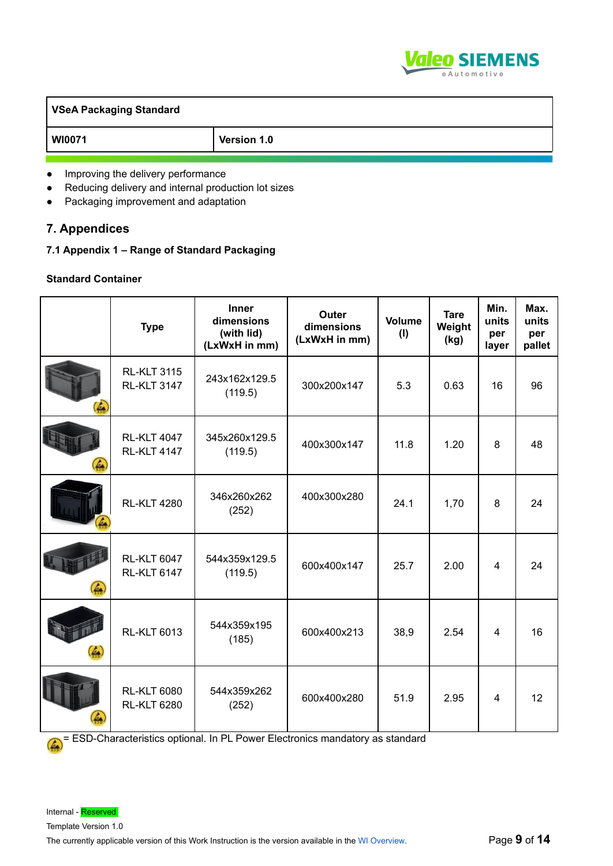

| VSeA Packaging Standard |             |  |
|-------------------------|-------------|--|
| WI0071                  | Version 1.0 |  |
|                         |             |  |

- Improving the delivery performance
- Reducing delivery and internal production lot sizes
- Packaging improvement and adaptation

# **7. Appendices**

**7.1 Appendix 1 – Range of Standard Packaging**

## **Standard Container**

|    | <b>Type</b>                              | Inner<br>dimensions<br>(with lid)<br>(LxWxH in mm) | Outer<br>dimensions<br>(LxWxH in mm) | Volume<br>(1) | <b>Tare</b><br>Weight<br>(kg) | Min.<br>units<br>per<br>layer | Max.<br>units<br>per<br>pallet |
|----|------------------------------------------|----------------------------------------------------|--------------------------------------|---------------|-------------------------------|-------------------------------|--------------------------------|
| 4  | <b>RL-KLT 3115</b><br><b>RL-KLT 3147</b> | 243x162x129.5<br>(119.5)                           | 300x200x147                          | 5.3           | 0.63                          | 16                            | 96                             |
| Ŀа | <b>RL-KLT 4047</b><br><b>RL-KLT 4147</b> | 345x260x129.5<br>(119.5)                           | 400x300x147                          | 11.8          | 1.20                          | 8                             | 48                             |
|    | <b>RL-KLT 4280</b>                       | 346x260x262<br>(252)                               | 400x300x280                          | 24.1          | 1,70                          | 8                             | 24                             |
| 4  | <b>RL-KLT 6047</b><br><b>RL-KLT 6147</b> | 544x359x129.5<br>(119.5)                           | 600x400x147                          | 25.7          | 2.00                          | 4                             | 24                             |
| 4  | <b>RL-KLT 6013</b>                       | 544x359x195<br>(185)                               | 600x400x213                          | 38,9          | 2.54                          | $\overline{4}$                | 16                             |
|    | <b>RL-KLT 6080</b><br><b>RL-KLT 6280</b> | 544x359x262<br>(252)                               | 600x400x280                          | 51.9          | 2.95                          | $\overline{4}$                | 12                             |

= ESD-Characteristics optional. In PL Power Electronics mandatory as standard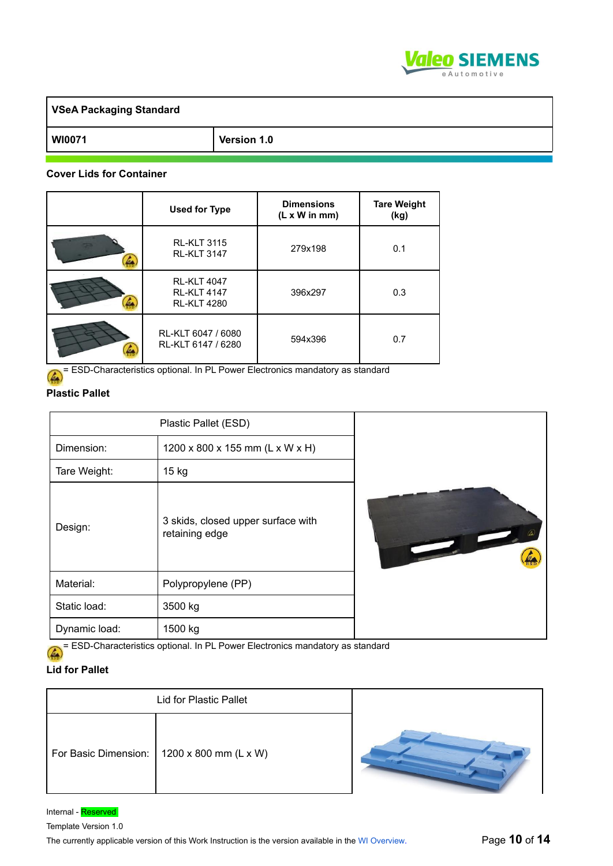

| <b>VSeA Packaging Standard</b> |             |
|--------------------------------|-------------|
| <b>WI0071</b>                  | Version 1.0 |

#### **Cover Lids for Container**

| <b>Used for Type</b>                                           | <b>Dimensions</b><br>$(L \times W \text{ in mm})$ | <b>Tare Weight</b><br>(kg) |
|----------------------------------------------------------------|---------------------------------------------------|----------------------------|
| <b>RL-KLT 3115</b><br><b>RL-KLT 3147</b>                       | 279x198                                           | 0.1                        |
| <b>RL-KLT 4047</b><br><b>RL-KLT 4147</b><br><b>RL-KLT 4280</b> | 396x297                                           | 0.3                        |
| RL-KLT 6047 / 6080<br>RL-KLT 6147 / 6280                       | 594x396                                           | 0.7                        |

ESD-Characteristics optional. In PL Power Electronics mandatory as standard

### **Plastic Pallet**

| Dimension:<br>Tare Weight: | Plastic Pallet (ESD)<br>1200 x 800 x 155 mm (L x W x H)<br>15 kg |                          |
|----------------------------|------------------------------------------------------------------|--------------------------|
| Design:                    | 3 skids, closed upper surface with<br>retaining edge             | $\overline{\phantom{a}}$ |
| Material:                  | Polypropylene (PP)                                               |                          |
| Static load:               | 3500 kg                                                          |                          |
| Dynamic load:              | 1500 kg                                                          |                          |

= ESD-Characteristics optional. In PL Power Electronics mandatory as standard

# **Lid for Pallet**

| <b>Lid for Plastic Pallet</b> |                                              |  |
|-------------------------------|----------------------------------------------|--|
|                               | For Basic Dimension:   1200 x 800 mm (L x W) |  |

**A**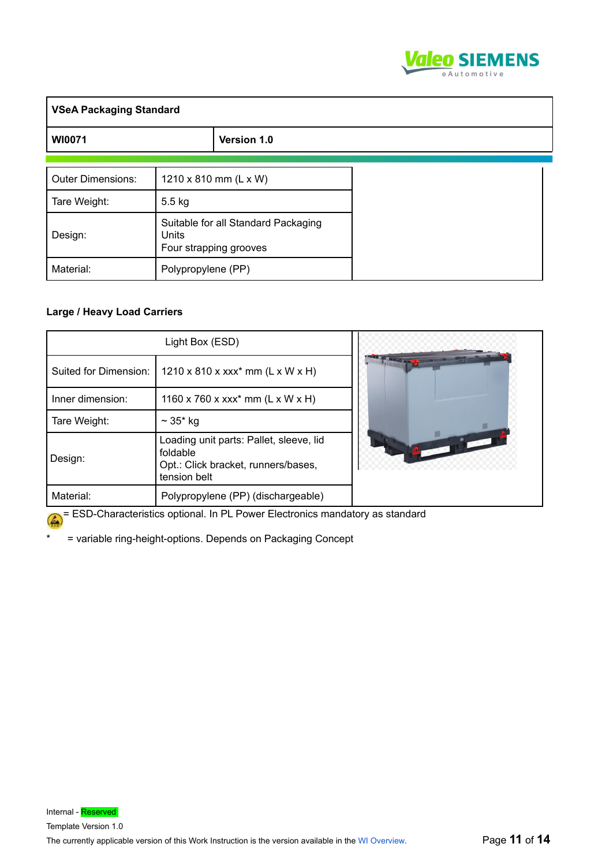

| <b>VSeA Packaging Standard</b> |                    |                                                               |  |
|--------------------------------|--------------------|---------------------------------------------------------------|--|
| <b>WI0071</b>                  |                    | Version 1.0                                                   |  |
| <b>Outer Dimensions:</b>       |                    | 1210 x 810 mm (L x W)                                         |  |
| Tare Weight:                   | $5.5$ kg           |                                                               |  |
| Design:                        | <b>Units</b>       | Suitable for all Standard Packaging<br>Four strapping grooves |  |
| Material:                      | Polypropylene (PP) |                                                               |  |

### **Large / Heavy Load Carriers**

|                       | Light Box (ESD)                                                                                            |  |
|-----------------------|------------------------------------------------------------------------------------------------------------|--|
| Suited for Dimension: | $1210 \times 810 \times xxx^{*}$ mm (L x W x H)                                                            |  |
| Inner dimension:      | 1160 x 760 x xxx* mm (L x W x H)                                                                           |  |
| Tare Weight:          | $\sim 35*$ kg                                                                                              |  |
| Design:               | Loading unit parts: Pallet, sleeve, lid<br>foldable<br>Opt.: Click bracket, runners/bases,<br>tension belt |  |
| Material:             | Polypropylene (PP) (dischargeable)                                                                         |  |

= ESD-Characteristics optional. In PL Power Electronics mandatory as standard

\* = variable ring-height-options. Depends on Packaging Concept

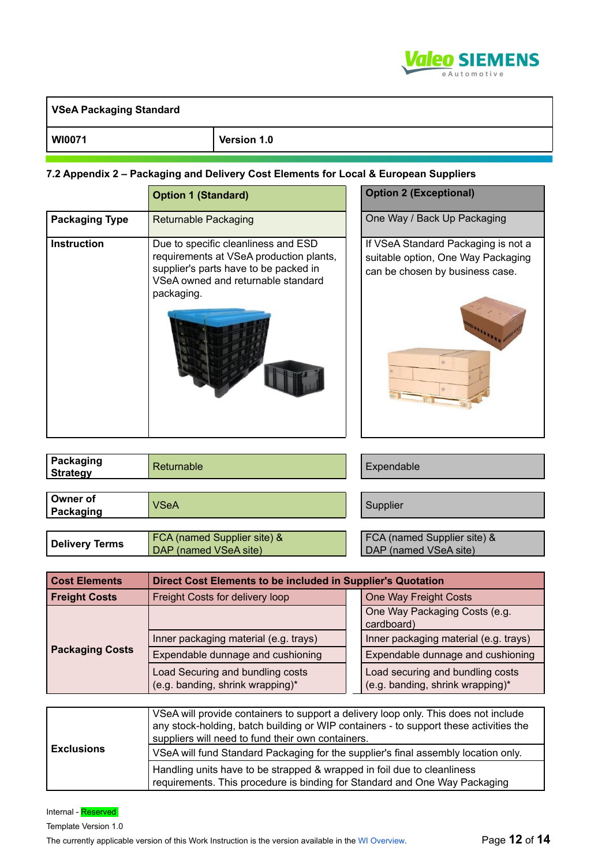

| <b>VSeA Packaging Standard</b> |             |
|--------------------------------|-------------|
| <b>WI0071</b>                  | Version 1.0 |

#### **7.2 Appendix 2 – Packaging and Delivery Cost Elements for Local & European Suppliers**

|                       | <b>Option 1 (Standard)</b>                                                                                                                                                  | <b>Option 2 (Exceptional)</b>                                                                                |
|-----------------------|-----------------------------------------------------------------------------------------------------------------------------------------------------------------------------|--------------------------------------------------------------------------------------------------------------|
| <b>Packaging Type</b> | <b>Returnable Packaging</b>                                                                                                                                                 | One Way / Back Up Packaging                                                                                  |
| <b>Instruction</b>    | Due to specific cleanliness and ESD<br>requirements at VSeA production plants,<br>supplier's parts have to be packed in<br>VSeA owned and returnable standard<br>packaging. | If VSeA Standard Packaging is not a<br>suitable option, One Way Packaging<br>can be chosen by business case. |
|                       |                                                                                                                                                                             |                                                                                                              |

| Packaging<br><b>Strategy</b> | Returnable                                           | Expendable                                           |
|------------------------------|------------------------------------------------------|------------------------------------------------------|
|                              |                                                      |                                                      |
| Owner of<br>Packaging        | <b>VSeA</b>                                          | Supplier                                             |
|                              |                                                      |                                                      |
| <b>Delivery Terms</b>        | FCA (named Supplier site) &<br>DAP (named VSeA site) | FCA (named Supplier site) &<br>DAP (named VSeA site) |

| <b>Cost Elements</b>   | Direct Cost Elements to be included in Supplier's Quotation                                                                                                                                                                       |  |                                                                      |
|------------------------|-----------------------------------------------------------------------------------------------------------------------------------------------------------------------------------------------------------------------------------|--|----------------------------------------------------------------------|
| <b>Freight Costs</b>   | Freight Costs for delivery loop                                                                                                                                                                                                   |  | One Way Freight Costs                                                |
|                        |                                                                                                                                                                                                                                   |  | One Way Packaging Costs (e.g.<br>cardboard)                          |
|                        | Inner packaging material (e.g. trays)                                                                                                                                                                                             |  | Inner packaging material (e.g. trays)                                |
| <b>Packaging Costs</b> | Expendable dunnage and cushioning                                                                                                                                                                                                 |  | Expendable dunnage and cushioning                                    |
|                        | Load Securing and bundling costs<br>(e.g. banding, shrink wrapping)*                                                                                                                                                              |  | Load securing and bundling costs<br>(e.g. banding, shrink wrapping)* |
|                        |                                                                                                                                                                                                                                   |  |                                                                      |
|                        | VSeA will provide containers to support a delivery loop only. This does not include<br>any stock-holding, batch building or WIP containers - to support these activities the<br>suppliers will need to fund their own containers. |  |                                                                      |
| <b>Exclusions</b>      | VSeA will fund Standard Packaging for the supplier's final assembly location only                                                                                                                                                 |  |                                                                      |

|                   | suppliers will riega to furta triel own containers.                                                                                                   |
|-------------------|-------------------------------------------------------------------------------------------------------------------------------------------------------|
| <b>Exclusions</b> | VSeA will fund Standard Packaging for the supplier's final assembly location only.                                                                    |
|                   | Handling units have to be strapped & wrapped in foil due to cleanliness<br>requirements. This procedure is binding for Standard and One Way Packaging |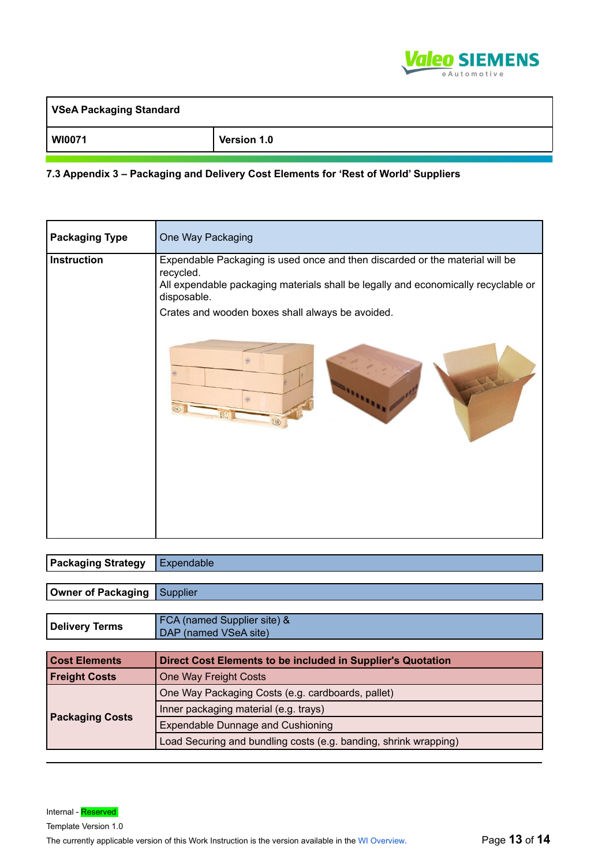

| <b>VSeA Packaging Standard</b> |             |
|--------------------------------|-------------|
| <b>WI0071</b>                  | Version 1.0 |

#### **7.3 Appendix 3 – Packaging and Delivery Cost Elements for 'Rest of World' Suppliers**

| <b>Packaging Type</b> | One Way Packaging                                                                                                                                                                              |  |
|-----------------------|------------------------------------------------------------------------------------------------------------------------------------------------------------------------------------------------|--|
| <b>Instruction</b>    | Expendable Packaging is used once and then discarded or the material will be<br>recycled.<br>All expendable packaging materials shall be legally and economically recyclable or<br>disposable. |  |
|                       | Crates and wooden boxes shall always be avoided.                                                                                                                                               |  |

| <b>Packaging Strategy</b> | Expendable                                                       |  |
|---------------------------|------------------------------------------------------------------|--|
|                           |                                                                  |  |
| Owner of Packaging        | Supplier                                                         |  |
|                           |                                                                  |  |
| <b>Delivery Terms</b>     | FCA (named Supplier site) &                                      |  |
|                           | DAP (named VSeA site)                                            |  |
|                           |                                                                  |  |
| <b>Cost Elements</b>      | Direct Cost Elements to be included in Supplier's Quotation      |  |
| <b>Freight Costs</b>      | One Way Freight Costs                                            |  |
|                           | One Way Packaging Costs (e.g. cardboards, pallet)                |  |
| <b>Packaging Costs</b>    | Inner packaging material (e.g. trays)                            |  |
|                           | <b>Expendable Dunnage and Cushioning</b>                         |  |
|                           | Load Securing and bundling costs (e.g. banding, shrink wrapping) |  |